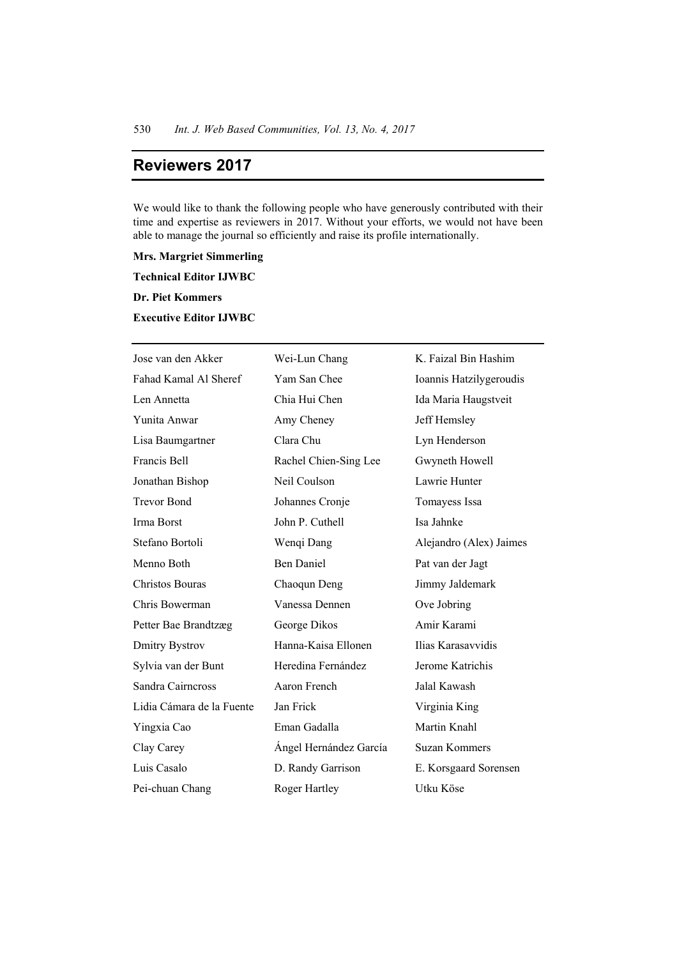## **Reviewers 2017**

We would like to thank the following people who have generously contributed with their time and expertise as reviewers in 2017. Without your efforts, we would not have been able to manage the journal so efficiently and raise its profile internationally.

**Mrs. Margriet Simmerling** 

**Technical Editor IJWBC** 

**Dr. Piet Kommers** 

**Executive Editor IJWBC** 

| Jose van den Akker        | Wei-Lun Chang          | K. Faizal Bin Hashim    |
|---------------------------|------------------------|-------------------------|
| Fahad Kamal Al Sheref     | Yam San Chee           | Ioannis Hatzilygeroudis |
| Len Annetta               | Chia Hui Chen          | Ida Maria Haugstveit    |
| Yunita Anwar              | Amy Cheney             | Jeff Hemsley            |
| Lisa Baumgartner          | Clara Chu              | Lyn Henderson           |
| Francis Bell              | Rachel Chien-Sing Lee  | Gwyneth Howell          |
| Jonathan Bishop           | Neil Coulson           | Lawrie Hunter           |
| <b>Trevor Bond</b>        | Johannes Cronje        | Tomayess Issa           |
| Irma Borst                | John P. Cuthell        | Isa Jahnke              |
| Stefano Bortoli           | Wenqi Dang             | Alejandro (Alex) Jaimes |
| Menno Both                | <b>Ben Daniel</b>      | Pat van der Jagt        |
| Christos Bouras           | Chaoqun Deng           | Jimmy Jaldemark         |
| Chris Bowerman            | Vanessa Dennen         | Ove Jobring             |
| Petter Bae Brandtzæg      | George Dikos           | Amir Karami             |
| Dmitry Bystrov            | Hanna-Kaisa Ellonen    | Ilias Karasavvidis      |
| Sylvia van der Bunt       | Heredina Fernández     | Jerome Katrichis        |
| Sandra Cairncross         | Aaron French           | Jalal Kawash            |
| Lidia Cámara de la Fuente | Jan Frick              | Virginia King           |
| Yingxia Cao               | Eman Gadalla           | Martin Knahl            |
| Clay Carey                | Ángel Hernández García | <b>Suzan Kommers</b>    |
| Luis Casalo               | D. Randy Garrison      | E. Korsgaard Sorensen   |
| Pei-chuan Chang           | Roger Hartley          | Utku Köse               |